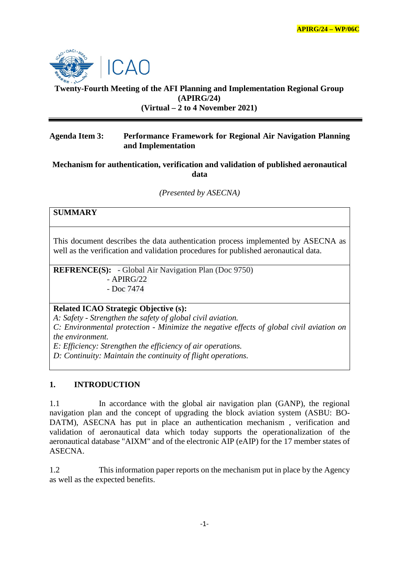

# **Twenty-Fourth Meeting of the AFI Planning and Implementation Regional Group (APIRG/24) (Virtual – 2 to 4 November 2021)**

### **Agenda Item 3: Performance Framework for Regional Air Navigation Planning and Implementation**

### **Mechanism for authentication, verification and validation of published aeronautical data**

*(Presented by ASECNA)*

# **SUMMARY**

This document describes the data authentication process implemented by ASECNA as well as the verification and validation procedures for published aeronautical data.

**REFRENCE(S):** - Global Air Navigation Plan (Doc 9750)  $-$  APIRG/22 - Doc 7474

### **Related ICAO Strategic Objective (s):**

*A: Safety - Strengthen the safety of global civil aviation.*

*C: Environmental protection - Minimize the negative effects of global civil aviation on the environment.*

*E: Efficiency: Strengthen the efficiency of air operations.*

*D: Continuity: Maintain the continuity of flight operations.*

#### **1. INTRODUCTION**

1.1 In accordance with the global air navigation plan (GANP), the regional navigation plan and the concept of upgrading the block aviation system (ASBU: BO-DATM), ASECNA has put in place an authentication mechanism , verification and validation of aeronautical data which today supports the operationalization of the aeronautical database "AIXM" and of the electronic AIP (eAIP) for the 17 member states of ASECNA.

1.2 This information paper reports on the mechanism put in place by the Agency as well as the expected benefits.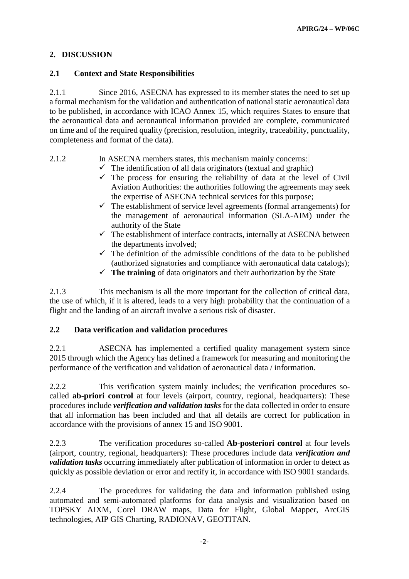# **2. DISCUSSION**

# **2.1 Context and State Responsibilities**

2.1.1 Since 2016, ASECNA has expressed to its member states the need to set up a formal mechanism for the validation and authentication of national static aeronautical data to be published, in accordance with ICAO Annex 15, which requires States to ensure that the aeronautical data and aeronautical information provided are complete, communicated on time and of the required quality (precision, resolution, integrity, traceability, punctuality, completeness and format of the data).

# 2.1.2 In ASECNA members states, this mechanism mainly concerns:

- $\checkmark$  The identification of all data originators (textual and graphic)
- $\checkmark$  The process for ensuring the reliability of data at the level of Civil Aviation Authorities: the authorities following the agreements may seek the expertise of ASECNA technical services for this purpose;
- $\checkmark$  The establishment of service level agreements (formal arrangements) for the management of aeronautical information (SLA-AIM) under the authority of the State
- $\checkmark$  The establishment of interface contracts, internally at ASECNA between the departments involved;
- $\checkmark$  The definition of the admissible conditions of the data to be published (authorized signatories and compliance with aeronautical data catalogs);
- $\checkmark$  The training of data originators and their authorization by the State

2.1.3 This mechanism is all the more important for the collection of critical data, the use of which, if it is altered, leads to a very high probability that the continuation of a flight and the landing of an aircraft involve a serious risk of disaster.

# **2.2 Data verification and validation procedures**

2.2.1 ASECNA has implemented a certified quality management system since 2015 through which the Agency has defined a framework for measuring and monitoring the performance of the verification and validation of aeronautical data / information.

2.2.2 This verification system mainly includes; the verification procedures socalled **ab-priori control** at four levels (airport, country, regional, headquarters): These procedures include *verification and validation tasks* for the data collected in order to ensure that all information has been included and that all details are correct for publication in accordance with the provisions of annex 15 and ISO 9001.

2.2.3 The verification procedures so-called **Ab-posteriori control** at four levels (airport, country, regional, headquarters): These procedures include data *verification and validation tasks* occurring immediately after publication of information in order to detect as quickly as possible deviation or error and rectify it, in accordance with ISO 9001 standards.

2.2.4 The procedures for validating the data and information published using automated and semi-automated platforms for data analysis and visualization based on TOPSKY AIXM, Corel DRAW maps, Data for Flight, Global Mapper, ArcGIS technologies, AIP GIS Charting, RADIONAV, GEOTITAN.